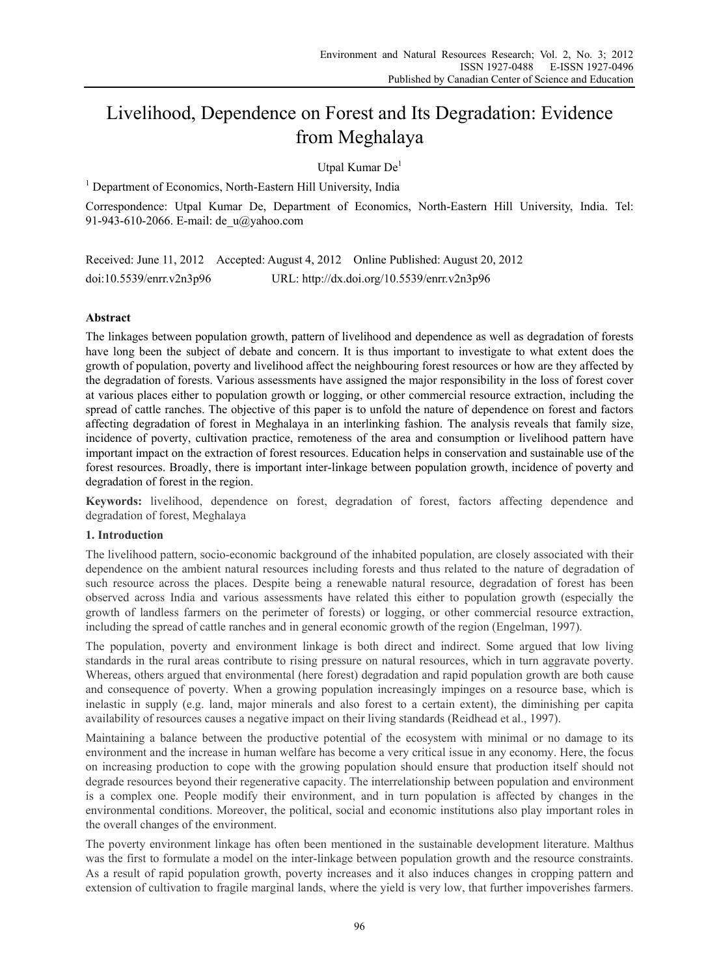# Livelihood, Dependence on Forest and Its Degradation: Evidence from Meghalaya

Utpal Kumar De<sup>1</sup>

<sup>1</sup> Department of Economics, North-Eastern Hill University, India

Correspondence: Utpal Kumar De, Department of Economics, North-Eastern Hill University, India. Tel: 91-943-610-2066. E-mail: de\_u@yahoo.com

Received: June 11, 2012 Accepted: August 4, 2012 Online Published: August 20, 2012 doi:10.5539/enrr.v2n3p96 URL: http://dx.doi.org/10.5539/enrr.v2n3p96

# **Abstract**

The linkages between population growth, pattern of livelihood and dependence as well as degradation of forests have long been the subject of debate and concern. It is thus important to investigate to what extent does the growth of population, poverty and livelihood affect the neighbouring forest resources or how are they affected by the degradation of forests. Various assessments have assigned the major responsibility in the loss of forest cover at various places either to population growth or logging, or other commercial resource extraction, including the spread of cattle ranches. The objective of this paper is to unfold the nature of dependence on forest and factors affecting degradation of forest in Meghalaya in an interlinking fashion. The analysis reveals that family size, incidence of poverty, cultivation practice, remoteness of the area and consumption or livelihood pattern have important impact on the extraction of forest resources. Education helps in conservation and sustainable use of the forest resources. Broadly, there is important inter-linkage between population growth, incidence of poverty and degradation of forest in the region.

**Keywords:** livelihood, dependence on forest, degradation of forest, factors affecting dependence and degradation of forest, Meghalaya

# **1. Introduction**

The livelihood pattern, socio-economic background of the inhabited population, are closely associated with their dependence on the ambient natural resources including forests and thus related to the nature of degradation of such resource across the places. Despite being a renewable natural resource, degradation of forest has been observed across India and various assessments have related this either to population growth (especially the growth of landless farmers on the perimeter of forests) or logging, or other commercial resource extraction, including the spread of cattle ranches and in general economic growth of the region (Engelman, 1997).

The population, poverty and environment linkage is both direct and indirect. Some argued that low living standards in the rural areas contribute to rising pressure on natural resources, which in turn aggravate poverty. Whereas, others argued that environmental (here forest) degradation and rapid population growth are both cause and consequence of poverty. When a growing population increasingly impinges on a resource base, which is inelastic in supply (e.g. land, major minerals and also forest to a certain extent), the diminishing per capita availability of resources causes a negative impact on their living standards (Reidhead et al., 1997).

Maintaining a balance between the productive potential of the ecosystem with minimal or no damage to its environment and the increase in human welfare has become a very critical issue in any economy. Here, the focus on increasing production to cope with the growing population should ensure that production itself should not degrade resources beyond their regenerative capacity. The interrelationship between population and environment is a complex one. People modify their environment, and in turn population is affected by changes in the environmental conditions. Moreover, the political, social and economic institutions also play important roles in the overall changes of the environment.

The poverty environment linkage has often been mentioned in the sustainable development literature. Malthus was the first to formulate a model on the inter-linkage between population growth and the resource constraints. As a result of rapid population growth, poverty increases and it also induces changes in cropping pattern and extension of cultivation to fragile marginal lands, where the yield is very low, that further impoverishes farmers.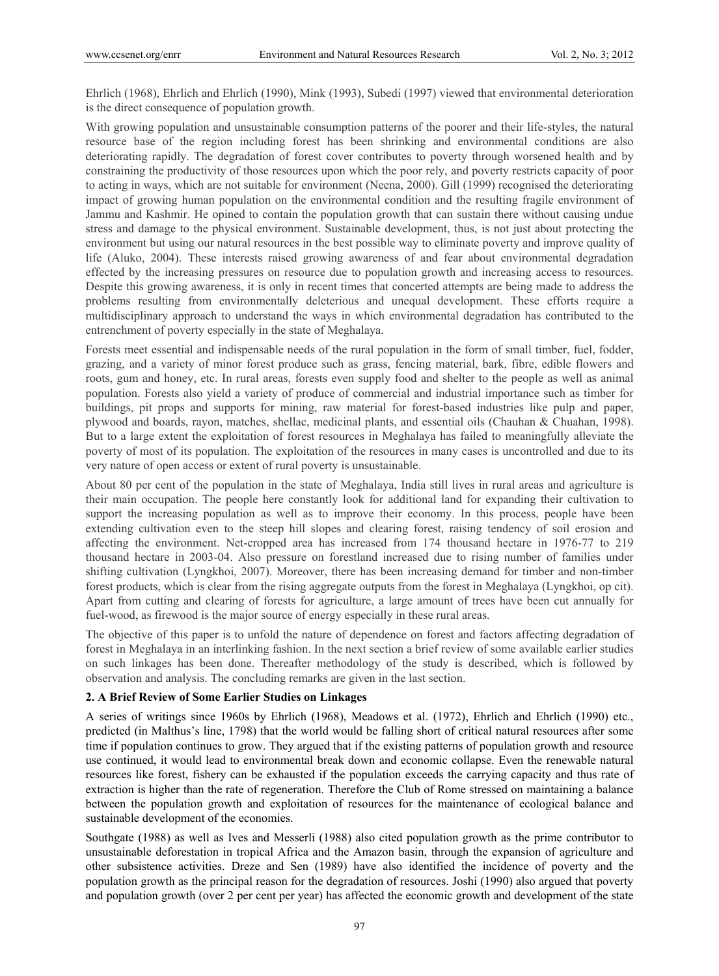Ehrlich (1968), Ehrlich and Ehrlich (1990), Mink (1993), Subedi (1997) viewed that environmental deterioration is the direct consequence of population growth.

With growing population and unsustainable consumption patterns of the poorer and their life-styles, the natural resource base of the region including forest has been shrinking and environmental conditions are also deteriorating rapidly. The degradation of forest cover contributes to poverty through worsened health and by constraining the productivity of those resources upon which the poor rely, and poverty restricts capacity of poor to acting in ways, which are not suitable for environment (Neena, 2000). Gill (1999) recognised the deteriorating impact of growing human population on the environmental condition and the resulting fragile environment of Jammu and Kashmir. He opined to contain the population growth that can sustain there without causing undue stress and damage to the physical environment. Sustainable development, thus, is not just about protecting the environment but using our natural resources in the best possible way to eliminate poverty and improve quality of life (Aluko, 2004). These interests raised growing awareness of and fear about environmental degradation effected by the increasing pressures on resource due to population growth and increasing access to resources. Despite this growing awareness, it is only in recent times that concerted attempts are being made to address the problems resulting from environmentally deleterious and unequal development. These efforts require a multidisciplinary approach to understand the ways in which environmental degradation has contributed to the entrenchment of poverty especially in the state of Meghalaya.

Forests meet essential and indispensable needs of the rural population in the form of small timber, fuel, fodder, grazing, and a variety of minor forest produce such as grass, fencing material, bark, fibre, edible flowers and roots, gum and honey, etc. In rural areas, forests even supply food and shelter to the people as well as animal population. Forests also yield a variety of produce of commercial and industrial importance such as timber for buildings, pit props and supports for mining, raw material for forest-based industries like pulp and paper, plywood and boards, rayon, matches, shellac, medicinal plants, and essential oils (Chauhan & Chuahan, 1998). But to a large extent the exploitation of forest resources in Meghalaya has failed to meaningfully alleviate the poverty of most of its population. The exploitation of the resources in many cases is uncontrolled and due to its very nature of open access or extent of rural poverty is unsustainable.

About 80 per cent of the population in the state of Meghalaya, India still lives in rural areas and agriculture is their main occupation. The people here constantly look for additional land for expanding their cultivation to support the increasing population as well as to improve their economy. In this process, people have been extending cultivation even to the steep hill slopes and clearing forest, raising tendency of soil erosion and affecting the environment. Net-cropped area has increased from 174 thousand hectare in 1976-77 to 219 thousand hectare in 2003-04. Also pressure on forestland increased due to rising number of families under shifting cultivation (Lyngkhoi, 2007). Moreover, there has been increasing demand for timber and non-timber forest products, which is clear from the rising aggregate outputs from the forest in Meghalaya (Lyngkhoi, op cit). Apart from cutting and clearing of forests for agriculture, a large amount of trees have been cut annually for fuel-wood, as firewood is the major source of energy especially in these rural areas.

The objective of this paper is to unfold the nature of dependence on forest and factors affecting degradation of forest in Meghalaya in an interlinking fashion. In the next section a brief review of some available earlier studies on such linkages has been done. Thereafter methodology of the study is described, which is followed by observation and analysis. The concluding remarks are given in the last section.

### **2. A Brief Review of Some Earlier Studies on Linkages**

A series of writings since 1960s by Ehrlich (1968), Meadows et al. (1972), Ehrlich and Ehrlich (1990) etc., predicted (in Malthus's line, 1798) that the world would be falling short of critical natural resources after some time if population continues to grow. They argued that if the existing patterns of population growth and resource use continued, it would lead to environmental break down and economic collapse. Even the renewable natural resources like forest, fishery can be exhausted if the population exceeds the carrying capacity and thus rate of extraction is higher than the rate of regeneration. Therefore the Club of Rome stressed on maintaining a balance between the population growth and exploitation of resources for the maintenance of ecological balance and sustainable development of the economies.

Southgate (1988) as well as Ives and Messerli (1988) also cited population growth as the prime contributor to unsustainable deforestation in tropical Africa and the Amazon basin, through the expansion of agriculture and other subsistence activities. Dreze and Sen (1989) have also identified the incidence of poverty and the population growth as the principal reason for the degradation of resources. Joshi (1990) also argued that poverty and population growth (over 2 per cent per year) has affected the economic growth and development of the state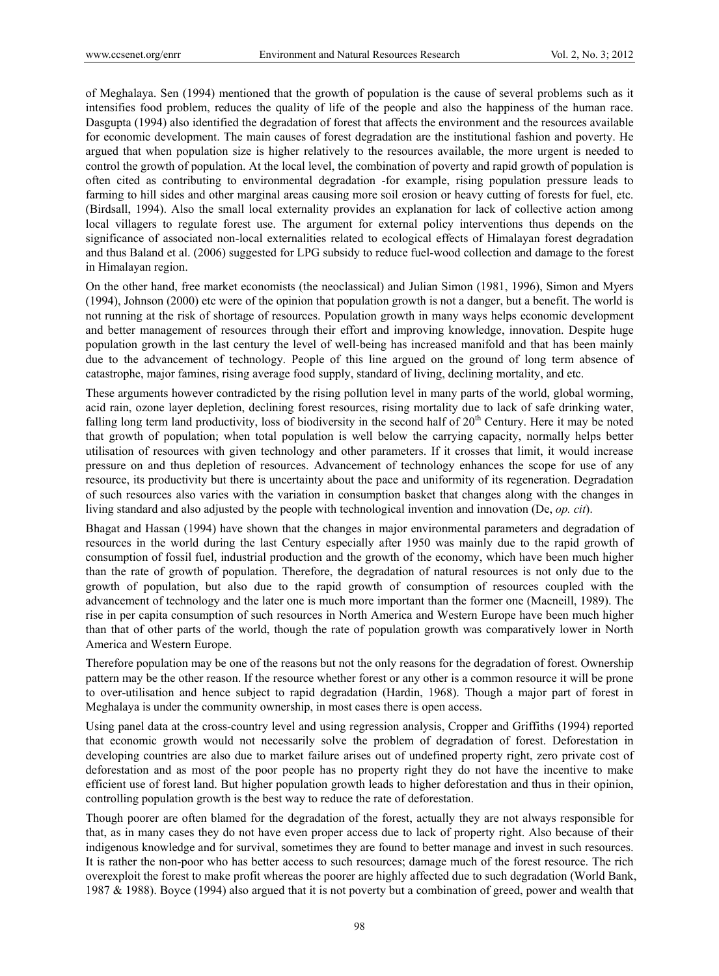of Meghalaya. Sen (1994) mentioned that the growth of population is the cause of several problems such as it intensifies food problem, reduces the quality of life of the people and also the happiness of the human race. Dasgupta (1994) also identified the degradation of forest that affects the environment and the resources available for economic development. The main causes of forest degradation are the institutional fashion and poverty. He argued that when population size is higher relatively to the resources available, the more urgent is needed to control the growth of population. At the local level, the combination of poverty and rapid growth of population is often cited as contributing to environmental degradation -for example, rising population pressure leads to farming to hill sides and other marginal areas causing more soil erosion or heavy cutting of forests for fuel, etc. (Birdsall, 1994). Also the small local externality provides an explanation for lack of collective action among local villagers to regulate forest use. The argument for external policy interventions thus depends on the significance of associated non-local externalities related to ecological effects of Himalayan forest degradation and thus Baland et al. (2006) suggested for LPG subsidy to reduce fuel-wood collection and damage to the forest in Himalayan region.

On the other hand, free market economists (the neoclassical) and Julian Simon (1981, 1996), Simon and Myers (1994), Johnson (2000) etc were of the opinion that population growth is not a danger, but a benefit. The world is not running at the risk of shortage of resources. Population growth in many ways helps economic development and better management of resources through their effort and improving knowledge, innovation. Despite huge population growth in the last century the level of well-being has increased manifold and that has been mainly due to the advancement of technology. People of this line argued on the ground of long term absence of catastrophe, major famines, rising average food supply, standard of living, declining mortality, and etc.

These arguments however contradicted by the rising pollution level in many parts of the world, global worming, acid rain, ozone layer depletion, declining forest resources, rising mortality due to lack of safe drinking water, falling long term land productivity, loss of biodiversity in the second half of  $20<sup>th</sup>$  Century. Here it may be noted that growth of population; when total population is well below the carrying capacity, normally helps better utilisation of resources with given technology and other parameters. If it crosses that limit, it would increase pressure on and thus depletion of resources. Advancement of technology enhances the scope for use of any resource, its productivity but there is uncertainty about the pace and uniformity of its regeneration. Degradation of such resources also varies with the variation in consumption basket that changes along with the changes in living standard and also adjusted by the people with technological invention and innovation (De, *op. cit*).

Bhagat and Hassan (1994) have shown that the changes in major environmental parameters and degradation of resources in the world during the last Century especially after 1950 was mainly due to the rapid growth of consumption of fossil fuel, industrial production and the growth of the economy, which have been much higher than the rate of growth of population. Therefore, the degradation of natural resources is not only due to the growth of population, but also due to the rapid growth of consumption of resources coupled with the advancement of technology and the later one is much more important than the former one (Macneill, 1989). The rise in per capita consumption of such resources in North America and Western Europe have been much higher than that of other parts of the world, though the rate of population growth was comparatively lower in North America and Western Europe.

Therefore population may be one of the reasons but not the only reasons for the degradation of forest. Ownership pattern may be the other reason. If the resource whether forest or any other is a common resource it will be prone to over-utilisation and hence subject to rapid degradation (Hardin, 1968). Though a major part of forest in Meghalaya is under the community ownership, in most cases there is open access.

Using panel data at the cross-country level and using regression analysis, Cropper and Griffiths (1994) reported that economic growth would not necessarily solve the problem of degradation of forest. Deforestation in developing countries are also due to market failure arises out of undefined property right, zero private cost of deforestation and as most of the poor people has no property right they do not have the incentive to make efficient use of forest land. But higher population growth leads to higher deforestation and thus in their opinion, controlling population growth is the best way to reduce the rate of deforestation.

Though poorer are often blamed for the degradation of the forest, actually they are not always responsible for that, as in many cases they do not have even proper access due to lack of property right. Also because of their indigenous knowledge and for survival, sometimes they are found to better manage and invest in such resources. It is rather the non-poor who has better access to such resources; damage much of the forest resource. The rich overexploit the forest to make profit whereas the poorer are highly affected due to such degradation (World Bank, 1987 & 1988). Boyce (1994) also argued that it is not poverty but a combination of greed, power and wealth that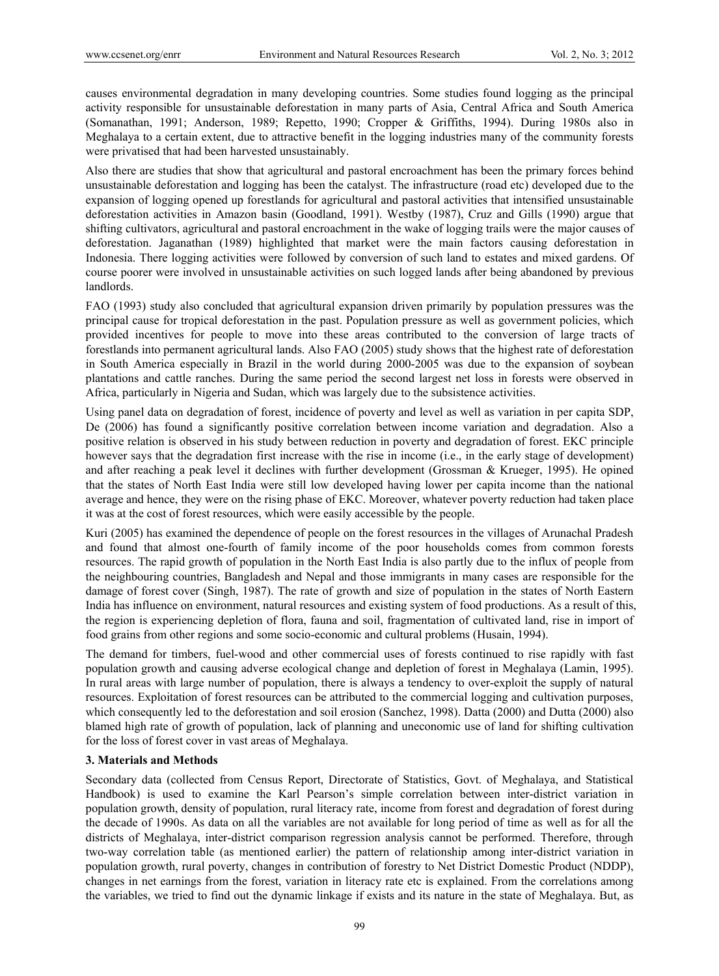causes environmental degradation in many developing countries. Some studies found logging as the principal activity responsible for unsustainable deforestation in many parts of Asia, Central Africa and South America (Somanathan, 1991; Anderson, 1989; Repetto, 1990; Cropper & Griffiths, 1994). During 1980s also in Meghalaya to a certain extent, due to attractive benefit in the logging industries many of the community forests were privatised that had been harvested unsustainably.

Also there are studies that show that agricultural and pastoral encroachment has been the primary forces behind unsustainable deforestation and logging has been the catalyst. The infrastructure (road etc) developed due to the expansion of logging opened up forestlands for agricultural and pastoral activities that intensified unsustainable deforestation activities in Amazon basin (Goodland, 1991). Westby (1987), Cruz and Gills (1990) argue that shifting cultivators, agricultural and pastoral encroachment in the wake of logging trails were the major causes of deforestation. Jaganathan (1989) highlighted that market were the main factors causing deforestation in Indonesia. There logging activities were followed by conversion of such land to estates and mixed gardens. Of course poorer were involved in unsustainable activities on such logged lands after being abandoned by previous landlords.

FAO (1993) study also concluded that agricultural expansion driven primarily by population pressures was the principal cause for tropical deforestation in the past. Population pressure as well as government policies, which provided incentives for people to move into these areas contributed to the conversion of large tracts of forestlands into permanent agricultural lands. Also FAO (2005) study shows that the highest rate of deforestation in South America especially in Brazil in the world during 2000-2005 was due to the expansion of soybean plantations and cattle ranches. During the same period the second largest net loss in forests were observed in Africa, particularly in Nigeria and Sudan, which was largely due to the subsistence activities.

Using panel data on degradation of forest, incidence of poverty and level as well as variation in per capita SDP, De (2006) has found a significantly positive correlation between income variation and degradation. Also a positive relation is observed in his study between reduction in poverty and degradation of forest. EKC principle however says that the degradation first increase with the rise in income (i.e., in the early stage of development) and after reaching a peak level it declines with further development (Grossman & Krueger, 1995). He opined that the states of North East India were still low developed having lower per capita income than the national average and hence, they were on the rising phase of EKC. Moreover, whatever poverty reduction had taken place it was at the cost of forest resources, which were easily accessible by the people.

Kuri (2005) has examined the dependence of people on the forest resources in the villages of Arunachal Pradesh and found that almost one-fourth of family income of the poor households comes from common forests resources. The rapid growth of population in the North East India is also partly due to the influx of people from the neighbouring countries, Bangladesh and Nepal and those immigrants in many cases are responsible for the damage of forest cover (Singh, 1987). The rate of growth and size of population in the states of North Eastern India has influence on environment, natural resources and existing system of food productions. As a result of this, the region is experiencing depletion of flora, fauna and soil, fragmentation of cultivated land, rise in import of food grains from other regions and some socio-economic and cultural problems (Husain, 1994).

The demand for timbers, fuel-wood and other commercial uses of forests continued to rise rapidly with fast population growth and causing adverse ecological change and depletion of forest in Meghalaya (Lamin, 1995). In rural areas with large number of population, there is always a tendency to over-exploit the supply of natural resources. Exploitation of forest resources can be attributed to the commercial logging and cultivation purposes, which consequently led to the deforestation and soil erosion (Sanchez, 1998). Datta (2000) and Dutta (2000) also blamed high rate of growth of population, lack of planning and uneconomic use of land for shifting cultivation for the loss of forest cover in vast areas of Meghalaya.

## **3. Materials and Methods**

Secondary data (collected from Census Report, Directorate of Statistics, Govt. of Meghalaya, and Statistical Handbook) is used to examine the Karl Pearson's simple correlation between inter-district variation in population growth, density of population, rural literacy rate, income from forest and degradation of forest during the decade of 1990s. As data on all the variables are not available for long period of time as well as for all the districts of Meghalaya, inter-district comparison regression analysis cannot be performed. Therefore, through two-way correlation table (as mentioned earlier) the pattern of relationship among inter-district variation in population growth, rural poverty, changes in contribution of forestry to Net District Domestic Product (NDDP), changes in net earnings from the forest, variation in literacy rate etc is explained. From the correlations among the variables, we tried to find out the dynamic linkage if exists and its nature in the state of Meghalaya. But, as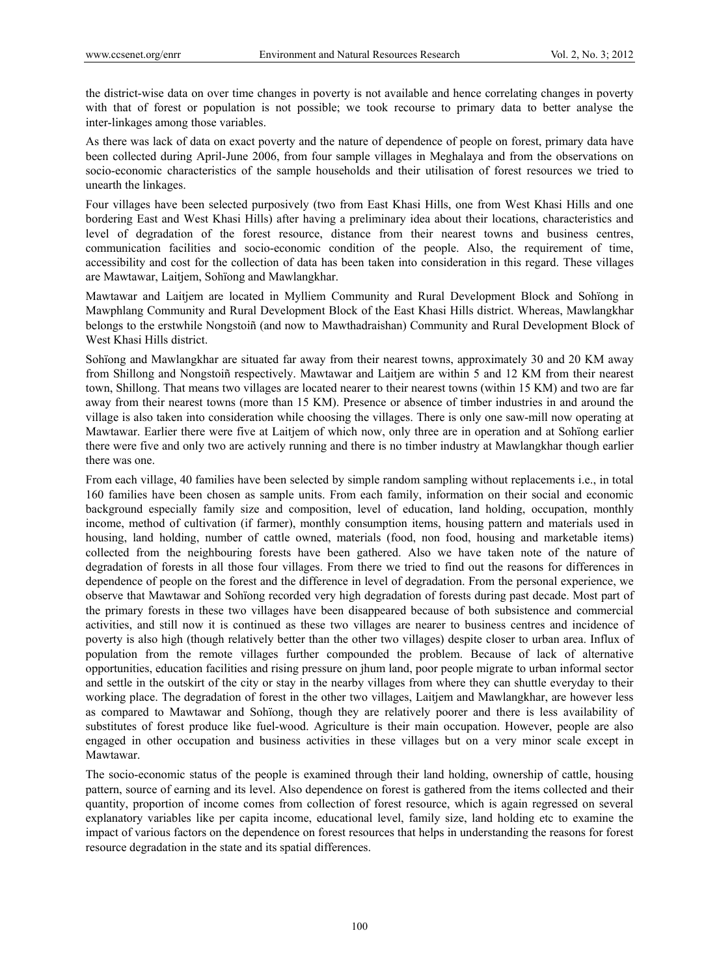the district-wise data on over time changes in poverty is not available and hence correlating changes in poverty with that of forest or population is not possible; we took recourse to primary data to better analyse the inter-linkages among those variables.

As there was lack of data on exact poverty and the nature of dependence of people on forest, primary data have been collected during April-June 2006, from four sample villages in Meghalaya and from the observations on socio-economic characteristics of the sample households and their utilisation of forest resources we tried to unearth the linkages.

Four villages have been selected purposively (two from East Khasi Hills, one from West Khasi Hills and one bordering East and West Khasi Hills) after having a preliminary idea about their locations, characteristics and level of degradation of the forest resource, distance from their nearest towns and business centres, communication facilities and socio-economic condition of the people. Also, the requirement of time, accessibility and cost for the collection of data has been taken into consideration in this regard. These villages are Mawtawar, Laitjem, Sohïong and Mawlangkhar.

Mawtawar and Laitjem are located in Mylliem Community and Rural Development Block and Sohïong in Mawphlang Community and Rural Development Block of the East Khasi Hills district. Whereas, Mawlangkhar belongs to the erstwhile Nongstoiñ (and now to Mawthadraishan) Community and Rural Development Block of West Khasi Hills district.

Sohïong and Mawlangkhar are situated far away from their nearest towns, approximately 30 and 20 KM away from Shillong and Nongstoiñ respectively. Mawtawar and Laitjem are within 5 and 12 KM from their nearest town, Shillong. That means two villages are located nearer to their nearest towns (within 15 KM) and two are far away from their nearest towns (more than 15 KM). Presence or absence of timber industries in and around the village is also taken into consideration while choosing the villages. There is only one saw-mill now operating at Mawtawar. Earlier there were five at Laitjem of which now, only three are in operation and at Sohïong earlier there were five and only two are actively running and there is no timber industry at Mawlangkhar though earlier there was one.

From each village, 40 families have been selected by simple random sampling without replacements i.e., in total 160 families have been chosen as sample units. From each family, information on their social and economic background especially family size and composition, level of education, land holding, occupation, monthly income, method of cultivation (if farmer), monthly consumption items, housing pattern and materials used in housing, land holding, number of cattle owned, materials (food, non food, housing and marketable items) collected from the neighbouring forests have been gathered. Also we have taken note of the nature of degradation of forests in all those four villages. From there we tried to find out the reasons for differences in dependence of people on the forest and the difference in level of degradation. From the personal experience, we observe that Mawtawar and Sohïong recorded very high degradation of forests during past decade. Most part of the primary forests in these two villages have been disappeared because of both subsistence and commercial activities, and still now it is continued as these two villages are nearer to business centres and incidence of poverty is also high (though relatively better than the other two villages) despite closer to urban area. Influx of population from the remote villages further compounded the problem. Because of lack of alternative opportunities, education facilities and rising pressure on jhum land, poor people migrate to urban informal sector and settle in the outskirt of the city or stay in the nearby villages from where they can shuttle everyday to their working place. The degradation of forest in the other two villages, Laitjem and Mawlangkhar, are however less as compared to Mawtawar and Sohïong, though they are relatively poorer and there is less availability of substitutes of forest produce like fuel-wood. Agriculture is their main occupation. However, people are also engaged in other occupation and business activities in these villages but on a very minor scale except in Mawtawar.

The socio-economic status of the people is examined through their land holding, ownership of cattle, housing pattern, source of earning and its level. Also dependence on forest is gathered from the items collected and their quantity, proportion of income comes from collection of forest resource, which is again regressed on several explanatory variables like per capita income, educational level, family size, land holding etc to examine the impact of various factors on the dependence on forest resources that helps in understanding the reasons for forest resource degradation in the state and its spatial differences.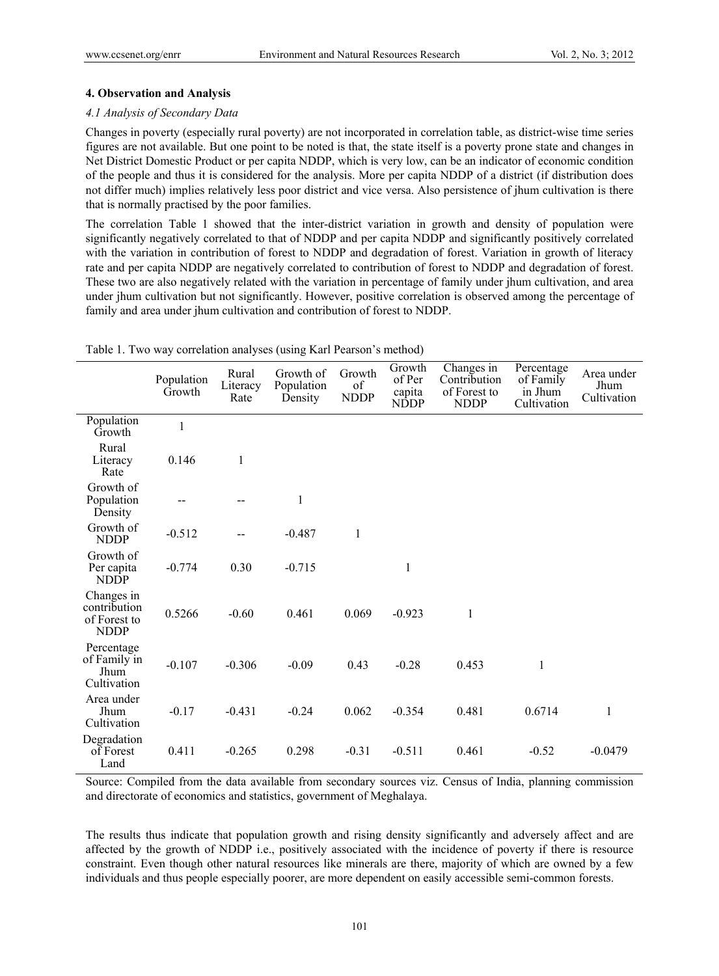## **4. Observation and Analysis**

## *4.1 Analysis of Secondary Data*

Changes in poverty (especially rural poverty) are not incorporated in correlation table, as district-wise time series figures are not available. But one point to be noted is that, the state itself is a poverty prone state and changes in Net District Domestic Product or per capita NDDP, which is very low, can be an indicator of economic condition of the people and thus it is considered for the analysis. More per capita NDDP of a district (if distribution does not differ much) implies relatively less poor district and vice versa. Also persistence of jhum cultivation is there that is normally practised by the poor families.

The correlation Table 1 showed that the inter-district variation in growth and density of population were significantly negatively correlated to that of NDDP and per capita NDDP and significantly positively correlated with the variation in contribution of forest to NDDP and degradation of forest. Variation in growth of literacy rate and per capita NDDP are negatively correlated to contribution of forest to NDDP and degradation of forest. These two are also negatively related with the variation in percentage of family under jhum cultivation, and area under jhum cultivation but not significantly. However, positive correlation is observed among the percentage of family and area under jhum cultivation and contribution of forest to NDDP.

|                                                           | Population<br>Growth | Rural<br>Literacy<br>Rate | Growth of<br>Population<br>Density | Growth<br>of<br><b>NDDP</b> | Growth<br>Changes in<br>of Per<br>Contribution<br>of Forest to<br>capita<br><b>NDDP</b><br><b>NDDP</b> |       | Percentage<br>of Family<br>in Jhum<br>Cultivation | Area under<br>Jhum<br>Cultivation |
|-----------------------------------------------------------|----------------------|---------------------------|------------------------------------|-----------------------------|--------------------------------------------------------------------------------------------------------|-------|---------------------------------------------------|-----------------------------------|
| Population<br>Growth                                      | $\mathbf{1}$         |                           |                                    |                             |                                                                                                        |       |                                                   |                                   |
| Rural<br>Literacy<br>Rate                                 | 0.146                | 1                         |                                    |                             |                                                                                                        |       |                                                   |                                   |
| Growth of<br>Population<br>Density                        |                      |                           | 1                                  |                             |                                                                                                        |       |                                                   |                                   |
| Growth of<br><b>NDDP</b>                                  | $-0.512$             |                           | $-0.487$                           | $\mathbf{1}$                |                                                                                                        |       |                                                   |                                   |
| Growth of<br>Per capita<br><b>NDDP</b>                    | $-0.774$             | 0.30                      | $-0.715$                           |                             | $\mathbf{1}$                                                                                           |       |                                                   |                                   |
| Changes in<br>contribution<br>of Forest to<br><b>NDDP</b> | 0.5266               | $-0.60$                   | 0.461                              | 0.069                       | $-0.923$                                                                                               | 1     |                                                   |                                   |
| Percentage<br>of Family in<br>Jhum<br>Cultivation         | $-0.107$             | $-0.306$                  | $-0.09$                            | 0.43                        | $-0.28$                                                                                                | 0.453 | $\mathbf{1}$                                      |                                   |
| Area under<br>Jhum<br>Cultivation                         | $-0.17$              | $-0.431$                  | $-0.24$                            | 0.062                       | $-0.354$                                                                                               | 0.481 | 0.6714                                            | 1                                 |
| Degradation<br>of Forest<br>Land                          | 0.411                | $-0.265$                  | 0.298                              | $-0.31$                     | $-0.511$                                                                                               | 0.461 | $-0.52$                                           | $-0.0479$                         |

Table 1. Two way correlation analyses (using Karl Pearson's method)

Source: Compiled from the data available from secondary sources viz. Census of India, planning commission and directorate of economics and statistics, government of Meghalaya.

The results thus indicate that population growth and rising density significantly and adversely affect and are affected by the growth of NDDP i.e., positively associated with the incidence of poverty if there is resource constraint. Even though other natural resources like minerals are there, majority of which are owned by a few individuals and thus people especially poorer, are more dependent on easily accessible semi-common forests.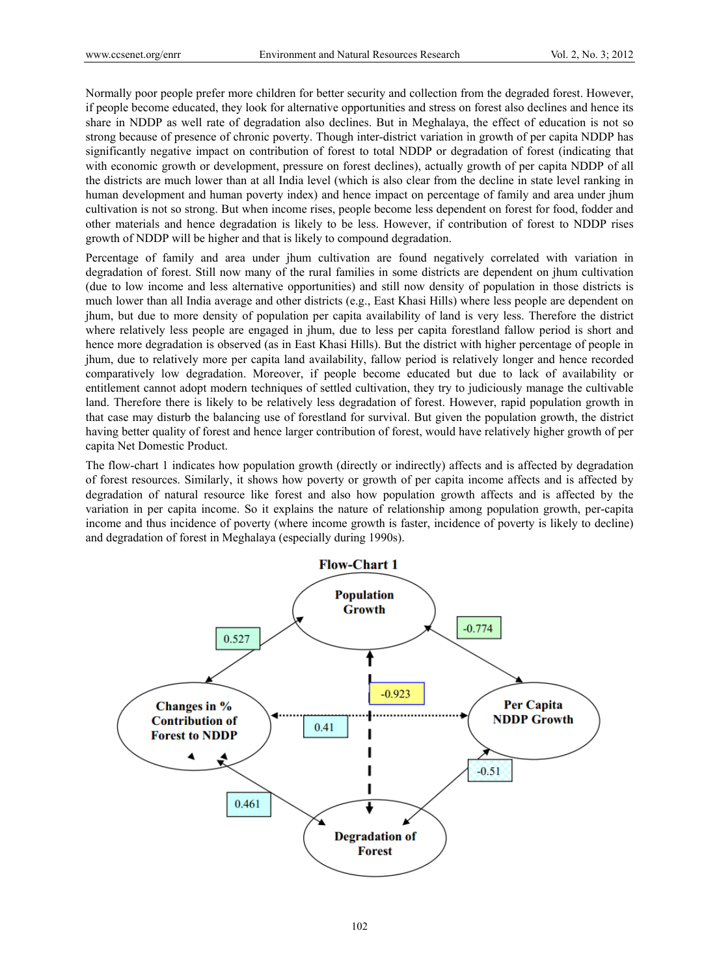Normally poor people prefer more children for better security and collection from the degraded forest. However, if people become educated, they look for alternative opportunities and stress on forest also declines and hence its share in NDDP as well rate of degradation also declines. But in Meghalaya, the effect of education is not so strong because of presence of chronic poverty. Though inter-district variation in growth of per capita NDDP has significantly negative impact on contribution of forest to total NDDP or degradation of forest (indicating that with economic growth or development, pressure on forest declines), actually growth of per capita NDDP of all the districts are much lower than at all India level (which is also clear from the decline in state level ranking in human development and human poverty index) and hence impact on percentage of family and area under jhum cultivation is not so strong. But when income rises, people become less dependent on forest for food, fodder and other materials and hence degradation is likely to be less. However, if contribution of forest to NDDP rises growth of NDDP will be higher and that is likely to compound degradation.

Percentage of family and area under jhum cultivation are found negatively correlated with variation in degradation of forest. Still now many of the rural families in some districts are dependent on jhum cultivation (due to low income and less alternative opportunities) and still now density of population in those districts is much lower than all India average and other districts (e.g., East Khasi Hills) where less people are dependent on jhum, but due to more density of population per capita availability of land is very less. Therefore the district where relatively less people are engaged in jhum, due to less per capita forestland fallow period is short and hence more degradation is observed (as in East Khasi Hills). But the district with higher percentage of people in jhum, due to relatively more per capita land availability, fallow period is relatively longer and hence recorded comparatively low degradation. Moreover, if people become educated but due to lack of availability or entitlement cannot adopt modern techniques of settled cultivation, they try to judiciously manage the cultivable land. Therefore there is likely to be relatively less degradation of forest. However, rapid population growth in that case may disturb the balancing use of forestland for survival. But given the population growth, the district having better quality of forest and hence larger contribution of forest, would have relatively higher growth of per capita Net Domestic Product.

The flow-chart 1 indicates how population growth (directly or indirectly) affects and is affected by degradation of forest resources. Similarly, it shows how poverty or growth of per capita income affects and is affected by degradation of natural resource like forest and also how population growth affects and is affected by the variation in per capita income. So it explains the nature of relationship among population growth, per-capita income and thus incidence of poverty (where income growth is faster, incidence of poverty is likely to decline) and degradation of forest in Meghalaya (especially during 1990s).

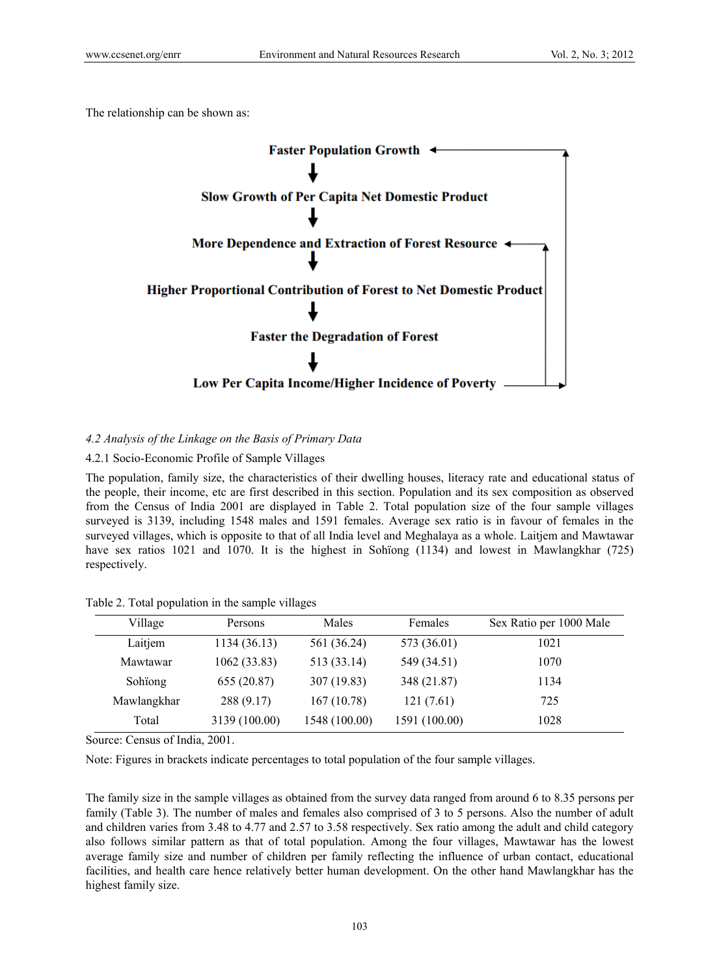The relationship can be shown as:



# *4.2 Analysis of the Linkage on the Basis of Primary Data*

# 4.2.1 Socio-Economic Profile of Sample Villages

The population, family size, the characteristics of their dwelling houses, literacy rate and educational status of the people, their income, etc are first described in this section. Population and its sex composition as observed from the Census of India 2001 are displayed in Table 2. Total population size of the four sample villages surveyed is 3139, including 1548 males and 1591 females. Average sex ratio is in favour of females in the surveyed villages, which is opposite to that of all India level and Meghalaya as a whole. Laitjem and Mawtawar have sex ratios 1021 and 1070. It is the highest in Sohiong (1134) and lowest in Mawlangkhar (725) respectively.

Table 2. Total population in the sample villages

| Village     | Persons       | Males         | Females       | Sex Ratio per 1000 Male |
|-------------|---------------|---------------|---------------|-------------------------|
| Laitjem     | 1134 (36.13)  | 561 (36.24)   | 573 (36.01)   | 1021                    |
| Mawtawar    | 1062(33.83)   | 513 (33.14)   | 549 (34.51)   | 1070                    |
| Sohiong     | 655 (20.87)   | 307 (19.83)   | 348 (21.87)   | 1134                    |
| Mawlangkhar | 288(9.17)     | 167(10.78)    | 121(7.61)     | 725                     |
| Total       | 3139 (100.00) | 1548 (100.00) | 1591 (100.00) | 1028                    |

Source: Census of India, 2001.

Note: Figures in brackets indicate percentages to total population of the four sample villages.

The family size in the sample villages as obtained from the survey data ranged from around 6 to 8.35 persons per family (Table 3). The number of males and females also comprised of 3 to 5 persons. Also the number of adult and children varies from 3.48 to 4.77 and 2.57 to 3.58 respectively. Sex ratio among the adult and child category also follows similar pattern as that of total population. Among the four villages, Mawtawar has the lowest average family size and number of children per family reflecting the influence of urban contact, educational facilities, and health care hence relatively better human development. On the other hand Mawlangkhar has the highest family size.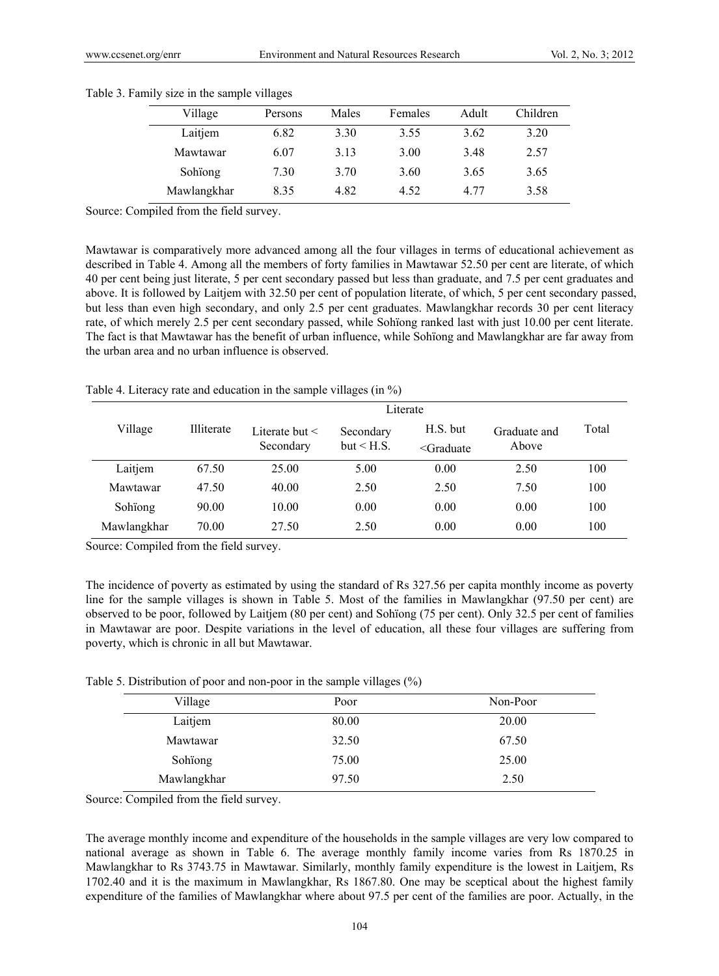| Village     | Persons | Males | Females | Adult | Children |
|-------------|---------|-------|---------|-------|----------|
| Laitjem     | 6.82    | 3.30  | 3.55    | 3.62  | 3.20     |
| Mawtawar    | 6.07    | 3.13  | 3.00    | 3.48  | 2.57     |
| Sohiong     | 7.30    | 3.70  | 3.60    | 3.65  | 3.65     |
| Mawlangkhar | 8.35    | 4.82  | 4.52    | 4 77  | 3.58     |

#### Table 3. Family size in the sample villages

Source: Compiled from the field survey.

Mawtawar is comparatively more advanced among all the four villages in terms of educational achievement as described in Table 4. Among all the members of forty families in Mawtawar 52.50 per cent are literate, of which 40 per cent being just literate, 5 per cent secondary passed but less than graduate, and 7.5 per cent graduates and above. It is followed by Laitjem with 32.50 per cent of population literate, of which, 5 per cent secondary passed, but less than even high secondary, and only 2.5 per cent graduates. Mawlangkhar records 30 per cent literacy rate, of which merely 2.5 per cent secondary passed, while Sohïong ranked last with just 10.00 per cent literate. The fact is that Mawtawar has the benefit of urban influence, while Sohïong and Mawlangkhar are far away from the urban area and no urban influence is observed.

Table 4. Literacy rate and education in the sample villages (in %)

|             | Literate          |                                  |                         |                               |                       |       |  |  |  |
|-------------|-------------------|----------------------------------|-------------------------|-------------------------------|-----------------------|-------|--|--|--|
| Village     | <b>Illiterate</b> | Literate but $\leq$<br>Secondary | Secondary<br>but < H.S. | $H.S.$ but<br>$\leq$ Graduate | Graduate and<br>Above | Total |  |  |  |
| Laitjem     | 67.50             | 25.00                            | 5.00                    | 0.00                          | 2.50                  | 100   |  |  |  |
| Mawtawar    | 47.50             | 40.00                            | 2.50                    | 2.50                          | 7.50                  | 100   |  |  |  |
| Sohiong     | 90.00             | 10.00                            | 0.00                    | 0.00                          | 0.00                  | 100   |  |  |  |
| Mawlangkhar | 70.00             | 27.50                            | 2.50                    | 0.00                          | 0.00                  | 100   |  |  |  |

Source: Compiled from the field survey.

The incidence of poverty as estimated by using the standard of Rs 327.56 per capita monthly income as poverty line for the sample villages is shown in Table 5. Most of the families in Mawlangkhar (97.50 per cent) are observed to be poor, followed by Laitjem (80 per cent) and Sohïong (75 per cent). Only 32.5 per cent of families in Mawtawar are poor. Despite variations in the level of education, all these four villages are suffering from poverty, which is chronic in all but Mawtawar.

Table 5. Distribution of poor and non-poor in the sample villages (%)

| Village     | Poor  | Non-Poor |
|-------------|-------|----------|
| Laitjem     | 80.00 | 20.00    |
| Mawtawar    | 32.50 | 67.50    |
| Sohiong     | 75.00 | 25.00    |
| Mawlangkhar | 97.50 | 2.50     |

Source: Compiled from the field survey.

The average monthly income and expenditure of the households in the sample villages are very low compared to national average as shown in Table 6. The average monthly family income varies from Rs 1870.25 in Mawlangkhar to Rs 3743.75 in Mawtawar. Similarly, monthly family expenditure is the lowest in Laitjem, Rs 1702.40 and it is the maximum in Mawlangkhar, Rs 1867.80. One may be sceptical about the highest family expenditure of the families of Mawlangkhar where about 97.5 per cent of the families are poor. Actually, in the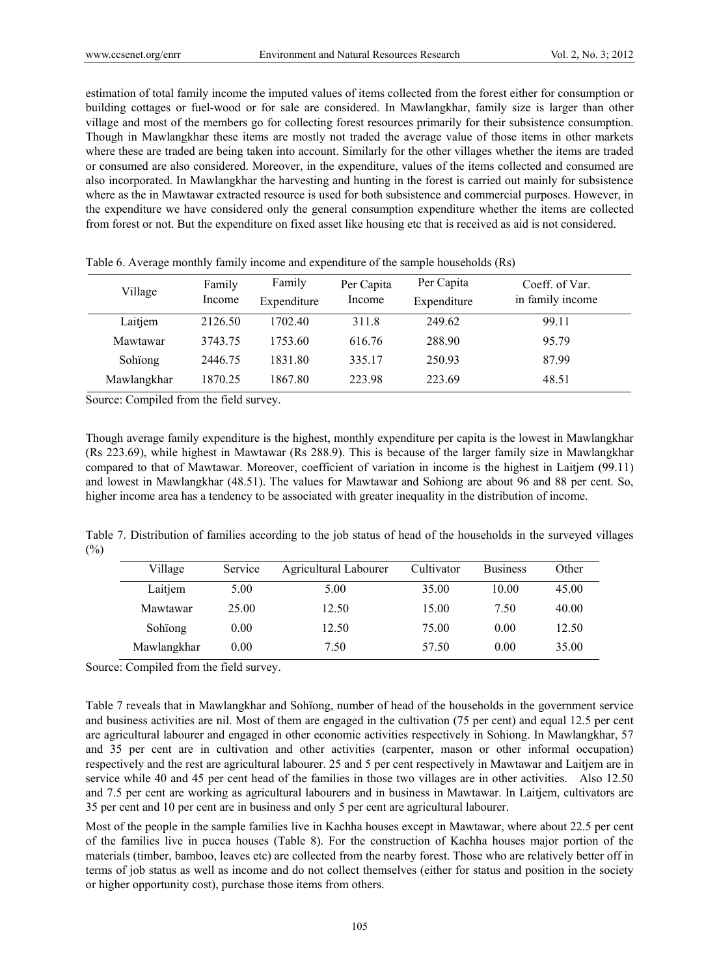estimation of total family income the imputed values of items collected from the forest either for consumption or building cottages or fuel-wood or for sale are considered. In Mawlangkhar, family size is larger than other village and most of the members go for collecting forest resources primarily for their subsistence consumption. Though in Mawlangkhar these items are mostly not traded the average value of those items in other markets where these are traded are being taken into account. Similarly for the other villages whether the items are traded or consumed are also considered. Moreover, in the expenditure, values of the items collected and consumed are also incorporated. In Mawlangkhar the harvesting and hunting in the forest is carried out mainly for subsistence where as the in Mawtawar extracted resource is used for both subsistence and commercial purposes. However, in the expenditure we have considered only the general consumption expenditure whether the items are collected from forest or not. But the expenditure on fixed asset like housing etc that is received as aid is not considered.

| Village     | Family<br>Income | Family<br>Expenditure | Per Capita<br>Income | Per Capita<br>Expenditure | Coeff. of Var.<br>in family income |
|-------------|------------------|-----------------------|----------------------|---------------------------|------------------------------------|
| Laitjem     | 2126.50          | 1702.40               | 311.8                | 249.62                    | 99.11                              |
| Mawtawar    | 3743.75          | 1753.60               | 616.76               | 288.90                    | 95.79                              |
| Sohiong     | 2446.75          | 1831.80               | 335.17               | 250.93                    | 87.99                              |
| Mawlangkhar | 1870.25          | 1867.80               | 223.98               | 223.69                    | 48.51                              |

Table 6. Average monthly family income and expenditure of the sample households (Rs)

Source: Compiled from the field survey.

Though average family expenditure is the highest, monthly expenditure per capita is the lowest in Mawlangkhar (Rs 223.69), while highest in Mawtawar (Rs 288.9). This is because of the larger family size in Mawlangkhar compared to that of Mawtawar. Moreover, coefficient of variation in income is the highest in Laitjem (99.11) and lowest in Mawlangkhar (48.51). The values for Mawtawar and Sohiong are about 96 and 88 per cent. So, higher income area has a tendency to be associated with greater inequality in the distribution of income.

Table 7. Distribution of families according to the job status of head of the households in the surveyed villages  $(%)$ 

| Village     | Service | Agricultural Labourer | Cultivator | <b>Business</b> | Other |
|-------------|---------|-----------------------|------------|-----------------|-------|
| Laitjem     | 5.00    | 5.00                  | 35.00      | 10.00           | 45.00 |
| Mawtawar    | 25.00   | 12.50                 | 15.00      | 7.50            | 40.00 |
| Sohiong     | 0.00    | 12.50                 | 75.00      | 0.00            | 12.50 |
| Mawlangkhar | 0.00    | 7.50                  | 57.50      | 0.00            | 35.00 |

Source: Compiled from the field survey.

Table 7 reveals that in Mawlangkhar and Sohïong, number of head of the households in the government service and business activities are nil. Most of them are engaged in the cultivation (75 per cent) and equal 12.5 per cent are agricultural labourer and engaged in other economic activities respectively in Sohiong. In Mawlangkhar, 57 and 35 per cent are in cultivation and other activities (carpenter, mason or other informal occupation) respectively and the rest are agricultural labourer. 25 and 5 per cent respectively in Mawtawar and Laitjem are in service while 40 and 45 per cent head of the families in those two villages are in other activities. Also 12.50 and 7.5 per cent are working as agricultural labourers and in business in Mawtawar. In Laitjem, cultivators are 35 per cent and 10 per cent are in business and only 5 per cent are agricultural labourer.

Most of the people in the sample families live in Kachha houses except in Mawtawar, where about 22.5 per cent of the families live in pucca houses (Table 8). For the construction of Kachha houses major portion of the materials (timber, bamboo, leaves etc) are collected from the nearby forest. Those who are relatively better off in terms of job status as well as income and do not collect themselves (either for status and position in the society or higher opportunity cost), purchase those items from others.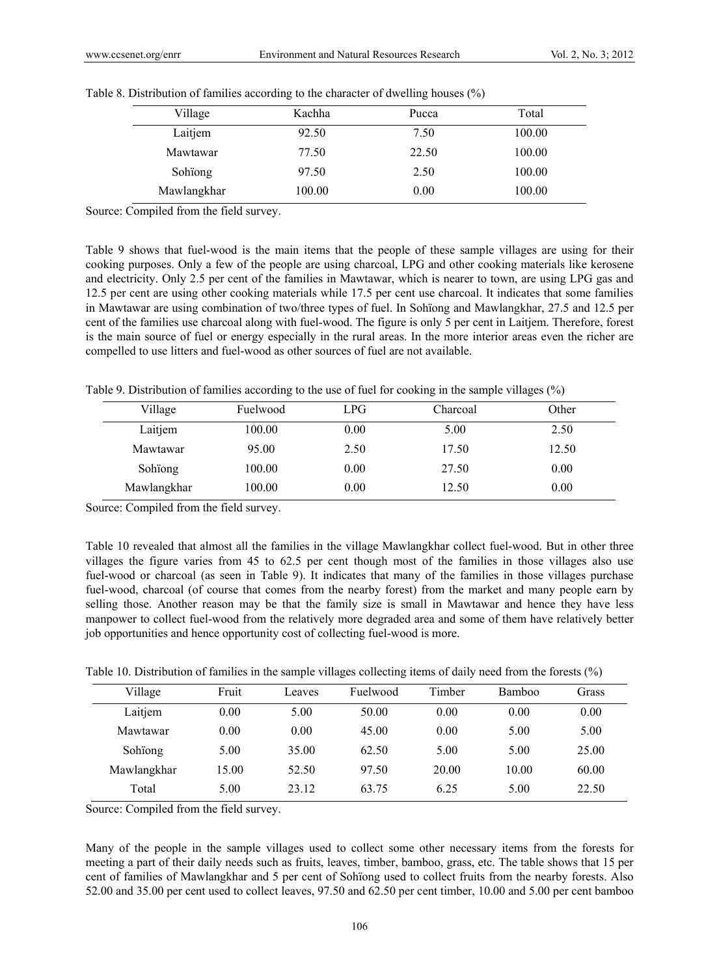| Village     | Kachha | Pucca | Total  |
|-------------|--------|-------|--------|
| Laitjem     | 92.50  | 7.50  | 100.00 |
| Mawtawar    | 77.50  | 22.50 | 100.00 |
| Sohiong     | 97.50  | 2.50  | 100.00 |
| Mawlangkhar | 100.00 | 0.00  | 100.00 |

|  |  | Table 8. Distribution of families according to the character of dwelling houses (%) |  |  |
|--|--|-------------------------------------------------------------------------------------|--|--|
|  |  |                                                                                     |  |  |

Source: Compiled from the field survey.

Table 9 shows that fuel-wood is the main items that the people of these sample villages are using for their cooking purposes. Only a few of the people are using charcoal, LPG and other cooking materials like kerosene and electricity. Only 2.5 per cent of the families in Mawtawar, which is nearer to town, are using LPG gas and 12.5 per cent are using other cooking materials while 17.5 per cent use charcoal. It indicates that some families in Mawtawar are using combination of two/three types of fuel. In Sohïong and Mawlangkhar, 27.5 and 12.5 per cent of the families use charcoal along with fuel-wood. The figure is only 5 per cent in Laitjem. Therefore, forest is the main source of fuel or energy especially in the rural areas. In the more interior areas even the richer are compelled to use litters and fuel-wood as other sources of fuel are not available.

Table 9. Distribution of families according to the use of fuel for cooking in the sample villages (%)

| Village     | Fuelwood | LPG  | Charcoal | Other |
|-------------|----------|------|----------|-------|
| Laitjem     | 100.00   | 0.00 | 5.00     | 2.50  |
| Mawtawar    | 95.00    | 2.50 | 17.50    | 12.50 |
| Sohiong     | 100.00   | 0.00 | 27.50    | 0.00  |
| Mawlangkhar | 100.00   | 0.00 | 12.50    | 0.00  |

Source: Compiled from the field survey.

Table 10 revealed that almost all the families in the village Mawlangkhar collect fuel-wood. But in other three villages the figure varies from 45 to 62.5 per cent though most of the families in those villages also use fuel-wood or charcoal (as seen in Table 9). It indicates that many of the families in those villages purchase fuel-wood, charcoal (of course that comes from the nearby forest) from the market and many people earn by selling those. Another reason may be that the family size is small in Mawtawar and hence they have less manpower to collect fuel-wood from the relatively more degraded area and some of them have relatively better job opportunities and hence opportunity cost of collecting fuel-wood is more.

Table 10. Distribution of families in the sample villages collecting items of daily need from the forests (%)

| Village     | Fruit | Leaves | Fuelwood | Timber | <b>Bamboo</b> | Grass |
|-------------|-------|--------|----------|--------|---------------|-------|
| Laitjem     | 0.00  | 5.00   | 50.00    | 0.00   | 0.00          | 0.00  |
| Mawtawar    | 0.00  | 0.00   | 45.00    | 0.00   | 5.00          | 5.00  |
| Sohiong     | 5.00  | 35.00  | 62.50    | 5.00   | 5.00          | 25.00 |
| Mawlangkhar | 15.00 | 52.50  | 97.50    | 20.00  | 10.00         | 60.00 |
| Total       | 5.00  | 23.12  | 63.75    | 6.25   | 5.00          | 22.50 |

Source: Compiled from the field survey.

Many of the people in the sample villages used to collect some other necessary items from the forests for meeting a part of their daily needs such as fruits, leaves, timber, bamboo, grass, etc. The table shows that 15 per cent of families of Mawlangkhar and 5 per cent of Sohïong used to collect fruits from the nearby forests. Also 52.00 and 35.00 per cent used to collect leaves, 97.50 and 62.50 per cent timber, 10.00 and 5.00 per cent bamboo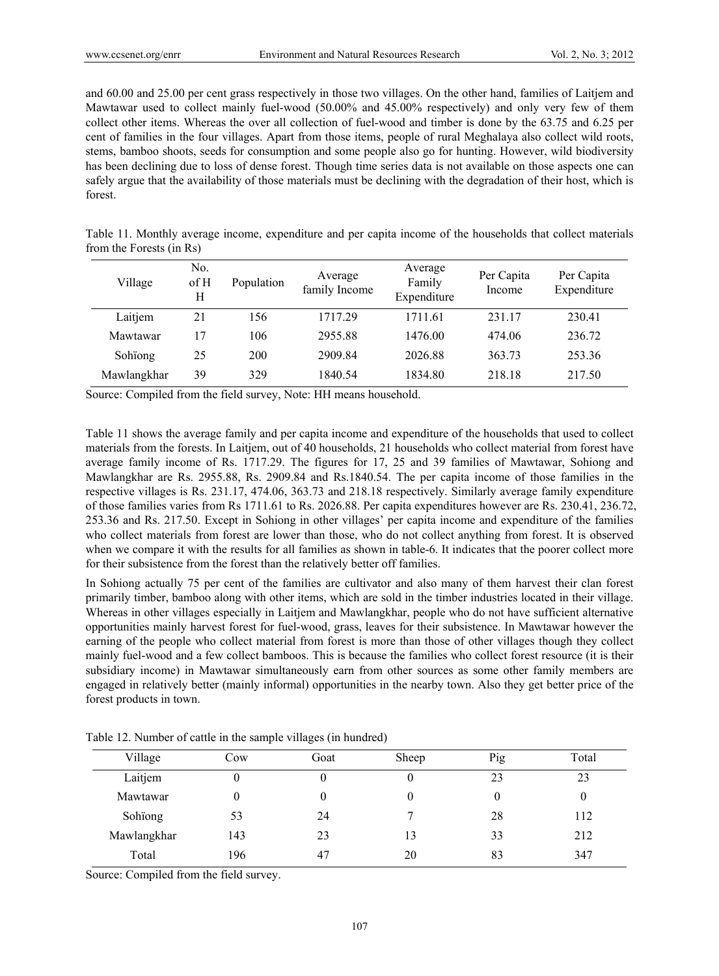and 60.00 and 25.00 per cent grass respectively in those two villages. On the other hand, families of Laitjem and Mawtawar used to collect mainly fuel-wood (50.00% and 45.00% respectively) and only very few of them collect other items. Whereas the over all collection of fuel-wood and timber is done by the 63.75 and 6.25 per cent of families in the four villages. Apart from those items, people of rural Meghalaya also collect wild roots, stems, bamboo shoots, seeds for consumption and some people also go for hunting. However, wild biodiversity has been declining due to loss of dense forest. Though time series data is not available on those aspects one can safely argue that the availability of those materials must be declining with the degradation of their host, which is forest.

|                          |  | Table 11. Monthly average income, expenditure and per capita income of the households that collect materials |  |  |  |  |
|--------------------------|--|--------------------------------------------------------------------------------------------------------------|--|--|--|--|
| from the Forests (in Rs) |  |                                                                                                              |  |  |  |  |

| Village     | N <sub>0</sub><br>$\rm of H$<br>H | Population | Average<br>family Income | Average<br>Family<br>Expenditure | Per Capita<br>Income | Per Capita<br>Expenditure |
|-------------|-----------------------------------|------------|--------------------------|----------------------------------|----------------------|---------------------------|
| Laitjem     | 21                                | 156        | 1717.29                  | 1711 61                          | 231 17               | 230.41                    |
| Mawtawar    | 17                                | 106        | 2955.88                  | 1476.00                          | 474.06               | 236.72                    |
| Sohiong     | 25                                | 200        | 2909.84                  | 2026.88                          | 363.73               | 253.36                    |
| Mawlangkhar | 39                                | 329        | 1840.54                  | 1834.80                          | 218.18               | 217.50                    |

Source: Compiled from the field survey, Note: HH means household.

Table 11 shows the average family and per capita income and expenditure of the households that used to collect materials from the forests. In Laitjem, out of 40 households, 21 households who collect material from forest have average family income of Rs. 1717.29. The figures for 17, 25 and 39 families of Mawtawar, Sohiong and Mawlangkhar are Rs. 2955.88, Rs. 2909.84 and Rs.1840.54. The per capita income of those families in the respective villages is Rs. 231.17, 474.06, 363.73 and 218.18 respectively. Similarly average family expenditure of those families varies from Rs 1711.61 to Rs. 2026.88. Per capita expenditures however are Rs. 230.41, 236.72, 253.36 and Rs. 217.50. Except in Sohiong in other villages' per capita income and expenditure of the families who collect materials from forest are lower than those, who do not collect anything from forest. It is observed when we compare it with the results for all families as shown in table-6. It indicates that the poorer collect more for their subsistence from the forest than the relatively better off families.

In Sohiong actually 75 per cent of the families are cultivator and also many of them harvest their clan forest primarily timber, bamboo along with other items, which are sold in the timber industries located in their village. Whereas in other villages especially in Laitjem and Mawlangkhar, people who do not have sufficient alternative opportunities mainly harvest forest for fuel-wood, grass, leaves for their subsistence. In Mawtawar however the earning of the people who collect material from forest is more than those of other villages though they collect mainly fuel-wood and a few collect bamboos. This is because the families who collect forest resource (it is their subsidiary income) in Mawtawar simultaneously earn from other sources as some other family members are engaged in relatively better (mainly informal) opportunities in the nearby town. Also they get better price of the forest products in town.

| Village     | Cow | Goat | Sheep | Pig | Total |
|-------------|-----|------|-------|-----|-------|
| Laitjem     | O   | 0    | U     | 23  | 23    |
| Mawtawar    | 0   | 0    | 0     | 0   | 0     |
| Sohïong     | 53  | 24   |       | 28  | 112   |
| Mawlangkhar | 143 | 23   | 13    | 33  | 212   |
| Total       | 196 | 47   | 20    | 83  | 347   |

Table 12. Number of cattle in the sample villages (in hundred)

Source: Compiled from the field survey.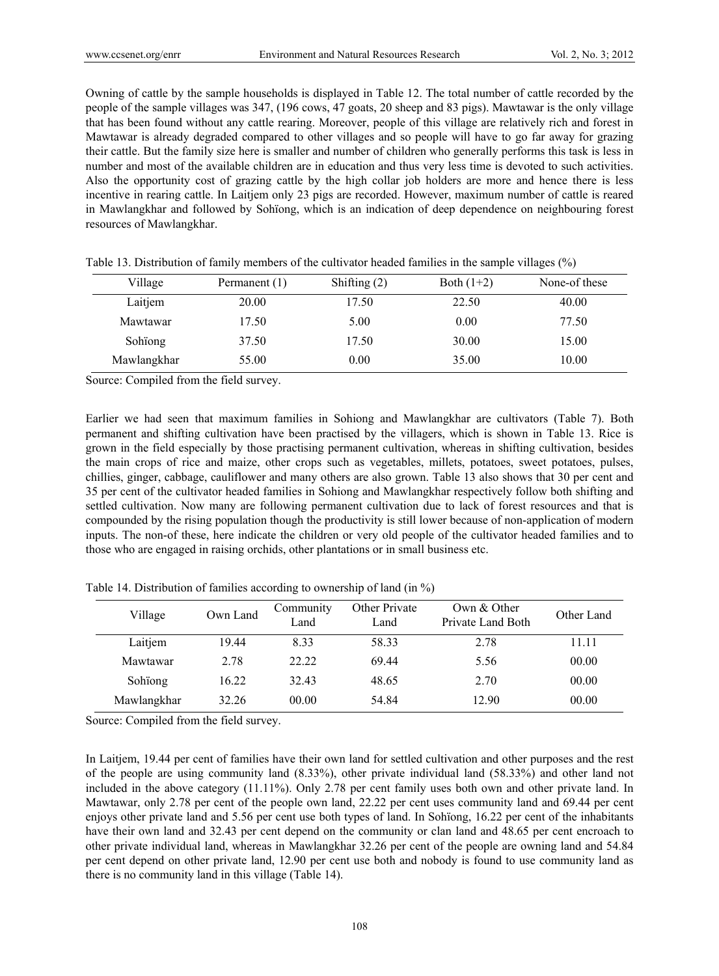Owning of cattle by the sample households is displayed in Table 12. The total number of cattle recorded by the people of the sample villages was 347, (196 cows, 47 goats, 20 sheep and 83 pigs). Mawtawar is the only village that has been found without any cattle rearing. Moreover, people of this village are relatively rich and forest in Mawtawar is already degraded compared to other villages and so people will have to go far away for grazing their cattle. But the family size here is smaller and number of children who generally performs this task is less in number and most of the available children are in education and thus very less time is devoted to such activities. Also the opportunity cost of grazing cattle by the high collar job holders are more and hence there is less incentive in rearing cattle. In Laitjem only 23 pigs are recorded. However, maximum number of cattle is reared in Mawlangkhar and followed by Sohïong, which is an indication of deep dependence on neighbouring forest resources of Mawlangkhar.

| Village     | Permanent (1) | Shifting $(2)$ | Both $(1+2)$ | None-of these |
|-------------|---------------|----------------|--------------|---------------|
| Laitjem     | 20.00         | 17.50          | 22.50        | 40.00         |
| Mawtawar    | 17.50         | 5.00           | 0.00         | 77.50         |
| Sohiong     | 37.50         | 17.50          | 30.00        | 15.00         |
| Mawlangkhar | 55.00         | 0.00           | 35.00        | 10.00         |

Table 13. Distribution of family members of the cultivator headed families in the sample villages (%)

Source: Compiled from the field survey.

Earlier we had seen that maximum families in Sohiong and Mawlangkhar are cultivators (Table 7). Both permanent and shifting cultivation have been practised by the villagers, which is shown in Table 13. Rice is grown in the field especially by those practising permanent cultivation, whereas in shifting cultivation, besides the main crops of rice and maize, other crops such as vegetables, millets, potatoes, sweet potatoes, pulses, chillies, ginger, cabbage, cauliflower and many others are also grown. Table 13 also shows that 30 per cent and 35 per cent of the cultivator headed families in Sohiong and Mawlangkhar respectively follow both shifting and settled cultivation. Now many are following permanent cultivation due to lack of forest resources and that is compounded by the rising population though the productivity is still lower because of non-application of modern inputs. The non-of these, here indicate the children or very old people of the cultivator headed families and to those who are engaged in raising orchids, other plantations or in small business etc.

| Village     | Own Land | Community<br>Land | <b>Other Private</b><br>Land | Own $&$ Other<br>Private Land Both | Other Land |
|-------------|----------|-------------------|------------------------------|------------------------------------|------------|
| Laitjem     | 19.44    | 8.33              | 58.33                        | 2.78                               | 11.11      |
| Mawtawar    | 2.78     | 22.22             | 69.44                        | 5.56                               | 00.00      |
| Sohiong     | 16.22    | 32.43             | 48.65                        | 2.70                               | 00.00      |
| Mawlangkhar | 32.26    | 00.00             | 54.84                        | 12.90                              | 00.00      |

Table 14. Distribution of families according to ownership of land (in %)

Source: Compiled from the field survey.

In Laitjem, 19.44 per cent of families have their own land for settled cultivation and other purposes and the rest of the people are using community land (8.33%), other private individual land (58.33%) and other land not included in the above category (11.11%). Only 2.78 per cent family uses both own and other private land. In Mawtawar, only 2.78 per cent of the people own land, 22.22 per cent uses community land and 69.44 per cent enjoys other private land and 5.56 per cent use both types of land. In Sohïong, 16.22 per cent of the inhabitants have their own land and 32.43 per cent depend on the community or clan land and 48.65 per cent encroach to other private individual land, whereas in Mawlangkhar 32.26 per cent of the people are owning land and 54.84 per cent depend on other private land, 12.90 per cent use both and nobody is found to use community land as there is no community land in this village (Table 14).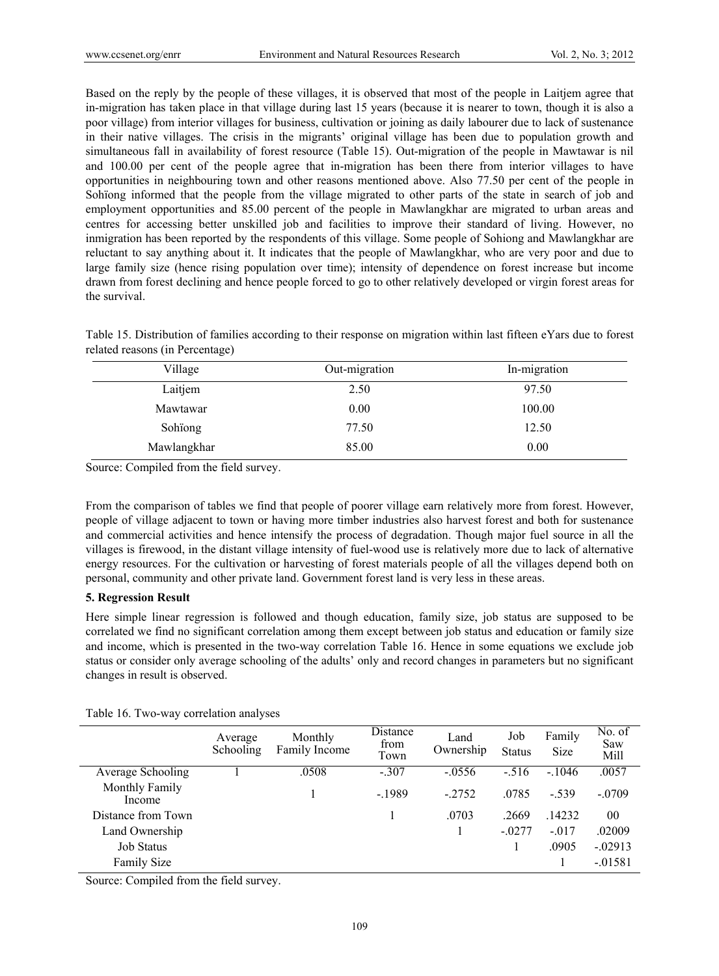Based on the reply by the people of these villages, it is observed that most of the people in Laitjem agree that in-migration has taken place in that village during last 15 years (because it is nearer to town, though it is also a poor village) from interior villages for business, cultivation or joining as daily labourer due to lack of sustenance in their native villages. The crisis in the migrants' original village has been due to population growth and simultaneous fall in availability of forest resource (Table 15). Out-migration of the people in Mawtawar is nil and 100.00 per cent of the people agree that in-migration has been there from interior villages to have opportunities in neighbouring town and other reasons mentioned above. Also 77.50 per cent of the people in Sohïong informed that the people from the village migrated to other parts of the state in search of job and employment opportunities and 85.00 percent of the people in Mawlangkhar are migrated to urban areas and centres for accessing better unskilled job and facilities to improve their standard of living. However, no inmigration has been reported by the respondents of this village. Some people of Sohiong and Mawlangkhar are reluctant to say anything about it. It indicates that the people of Mawlangkhar, who are very poor and due to large family size (hence rising population over time); intensity of dependence on forest increase but income drawn from forest declining and hence people forced to go to other relatively developed or virgin forest areas for the survival.

Table 15. Distribution of families according to their response on migration within last fifteen eYars due to forest related reasons (in Percentage)

| Village     | Out-migration | In-migration |  |
|-------------|---------------|--------------|--|
| Laitjem     | 2.50          | 97.50        |  |
| Mawtawar    | 0.00          | 100.00       |  |
| Sohiong     | 77.50         | 12.50        |  |
| Mawlangkhar | 85.00         | 0.00         |  |

Source: Compiled from the field survey.

From the comparison of tables we find that people of poorer village earn relatively more from forest. However, people of village adjacent to town or having more timber industries also harvest forest and both for sustenance and commercial activities and hence intensify the process of degradation. Though major fuel source in all the villages is firewood, in the distant village intensity of fuel-wood use is relatively more due to lack of alternative energy resources. For the cultivation or harvesting of forest materials people of all the villages depend both on personal, community and other private land. Government forest land is very less in these areas.

# **5. Regression Result**

Here simple linear regression is followed and though education, family size, job status are supposed to be correlated we find no significant correlation among them except between job status and education or family size and income, which is presented in the two-way correlation Table 16. Hence in some equations we exclude job status or consider only average schooling of the adults' only and record changes in parameters but no significant changes in result is observed.

|                          | Average<br>Schooling | Monthly<br>Family Income | Distance<br>from<br>Town | Land<br>Ownership | Job<br><b>Status</b> | Family<br>Size | No. of<br>Saw<br>Mill |
|--------------------------|----------------------|--------------------------|--------------------------|-------------------|----------------------|----------------|-----------------------|
| Average Schooling        |                      | .0508                    | $-.307$                  | $-0.0556$         | $-.516$              | $-.1046$       | .0057                 |
| Monthly Family<br>Income |                      |                          | $-1989$                  | $-2752$           | .0785                | $-539$         | $-.0709$              |
| Distance from Town       |                      |                          |                          | .0703             | .2669                | .14232         | 00                    |
| Land Ownership           |                      |                          |                          |                   | $-.0277$             | $-.017$        | .02009                |
| <b>Job Status</b>        |                      |                          |                          |                   |                      | .0905          | $-.02913$             |
| Family Size              |                      |                          |                          |                   |                      |                | $-.01581$             |

Table 16. Two-way correlation analyses

Source: Compiled from the field survey.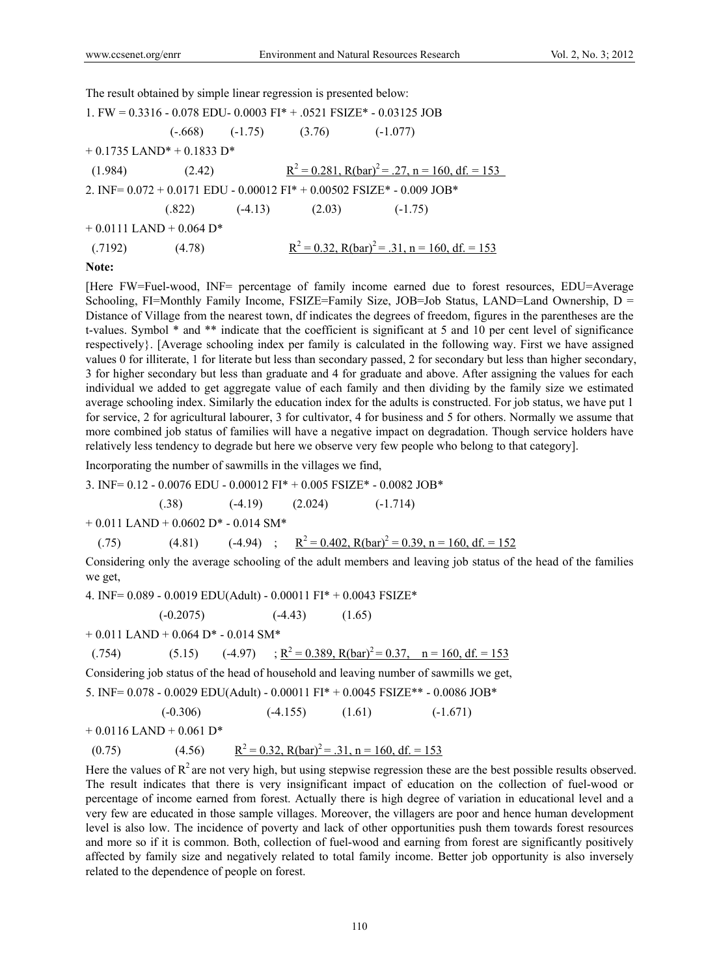The result obtained by simple linear regression is presented below:

| 1. FW = $0.3316 - 0.078$ EDU- 0.0003 FI <sup>*</sup> + .0521 FSIZE <sup>*</sup> - 0.03125 JOB                      |                                                     |                             |                              |                                                          |  |  |  |
|--------------------------------------------------------------------------------------------------------------------|-----------------------------------------------------|-----------------------------|------------------------------|----------------------------------------------------------|--|--|--|
|                                                                                                                    |                                                     |                             | $(-.668)$ $(-1.75)$ $(3.76)$ | $(-1.077)$                                               |  |  |  |
|                                                                                                                    | $+0.1735$ LAND <sup>*</sup> + 0.1833 D <sup>*</sup> |                             |                              |                                                          |  |  |  |
| (1.984)                                                                                                            | (2.42)                                              |                             |                              | $R^2 = 0.281$ , $R(bar)^2 = .27$ , $n = 160$ , df. = 153 |  |  |  |
| 2. INF= $0.072 + 0.0171$ EDU - $0.00012$ FI <sup>*</sup> + $0.00502$ FSIZE <sup>*</sup> - $0.009$ JOB <sup>*</sup> |                                                     |                             |                              |                                                          |  |  |  |
|                                                                                                                    |                                                     | $(.822)$ $(-4.13)$ $(2.03)$ |                              | $(-1.75)$                                                |  |  |  |
|                                                                                                                    | $+0.0111$ LAND $+0.064$ D <sup>*</sup>              |                             |                              |                                                          |  |  |  |
| (.7192)                                                                                                            | (4.78)                                              |                             |                              | $R^2 = 0.32$ , $R(bar)^2 = .31$ , $n = 160$ , df. = 153  |  |  |  |
|                                                                                                                    |                                                     |                             |                              |                                                          |  |  |  |

**Note:** 

[Here FW=Fuel-wood, INF= percentage of family income earned due to forest resources, EDU=Average Schooling, FI=Monthly Family Income, FSIZE=Family Size, JOB=Job Status, LAND=Land Ownership, D = Distance of Village from the nearest town, df indicates the degrees of freedom, figures in the parentheses are the t-values. Symbol \* and \*\* indicate that the coefficient is significant at 5 and 10 per cent level of significance respectively}. [Average schooling index per family is calculated in the following way. First we have assigned values 0 for illiterate, 1 for literate but less than secondary passed, 2 for secondary but less than higher secondary, 3 for higher secondary but less than graduate and 4 for graduate and above. After assigning the values for each individual we added to get aggregate value of each family and then dividing by the family size we estimated average schooling index. Similarly the education index for the adults is constructed. For job status, we have put 1 for service, 2 for agricultural labourer, 3 for cultivator, 4 for business and 5 for others. Normally we assume that more combined job status of families will have a negative impact on degradation. Though service holders have relatively less tendency to degrade but here we observe very few people who belong to that category].

Incorporating the number of sawmills in the villages we find,

3. INF= 0.12 - 0.0076 EDU - 0.00012 FI\* + 0.005 FSIZE\* - 0.0082 JOB\*

$$
(0.38) \t(-4.19) \t(2.024) \t(-1.714)
$$

 $+ 0.011$  LAND  $+ 0.0602$  D<sup>\*</sup> - 0.014 SM<sup>\*</sup>

(.75) (4.81) 
$$
(4.94) \quad ; \quad \mathbb{R}^2 = 0.402, \text{ R(bar)}^2 = 0.39, \text{ n} = 160, \text{ df.} = 152
$$

Considering only the average schooling of the adult members and leaving job status of the head of the families we get,

4. INF= 0.089 - 0.0019 EDU(Adult) - 0.00011 FI\* + 0.0043 FSIZE\*

$$
(-0.2075) \t (-4.43) \t (1.65)
$$

 $+ 0.011$  LAND  $+ 0.064$  D<sup>\*</sup> - 0.014 SM<sup>\*</sup>

$$
(0.754) \qquad (5.15) \qquad (-4.97) \qquad ; R^2 = 0.389, R(bar)^2 = 0.37, \quad n = 160, \text{ df.} = 153
$$

Considering job status of the head of household and leaving number of sawmills we get,

5. INF= 0.078 - 0.0029 EDU(Adult) - 0.00011 FI\* + 0.0045 FSIZE\*\* - 0.0086 JOB\*

$$
(-0.306) \qquad \qquad (-4.155) \qquad \qquad (1.61) \qquad \qquad (-1.671)
$$

 $+ 0.0116$  LAND  $+ 0.061$  D<sup>\*</sup>

$$
(0.75) \qquad (4.56) \qquad \frac{R^2 = 0.32, R(bar)^2 = .31, n = 160, df = 153}{R^2 = 0.32, R(bar)^2 = .31, n = 160, df = 153}
$$

Here the values of  $R<sup>2</sup>$  are not very high, but using stepwise regression these are the best possible results observed. The result indicates that there is very insignificant impact of education on the collection of fuel-wood or percentage of income earned from forest. Actually there is high degree of variation in educational level and a very few are educated in those sample villages. Moreover, the villagers are poor and hence human development level is also low. The incidence of poverty and lack of other opportunities push them towards forest resources and more so if it is common. Both, collection of fuel-wood and earning from forest are significantly positively affected by family size and negatively related to total family income. Better job opportunity is also inversely related to the dependence of people on forest.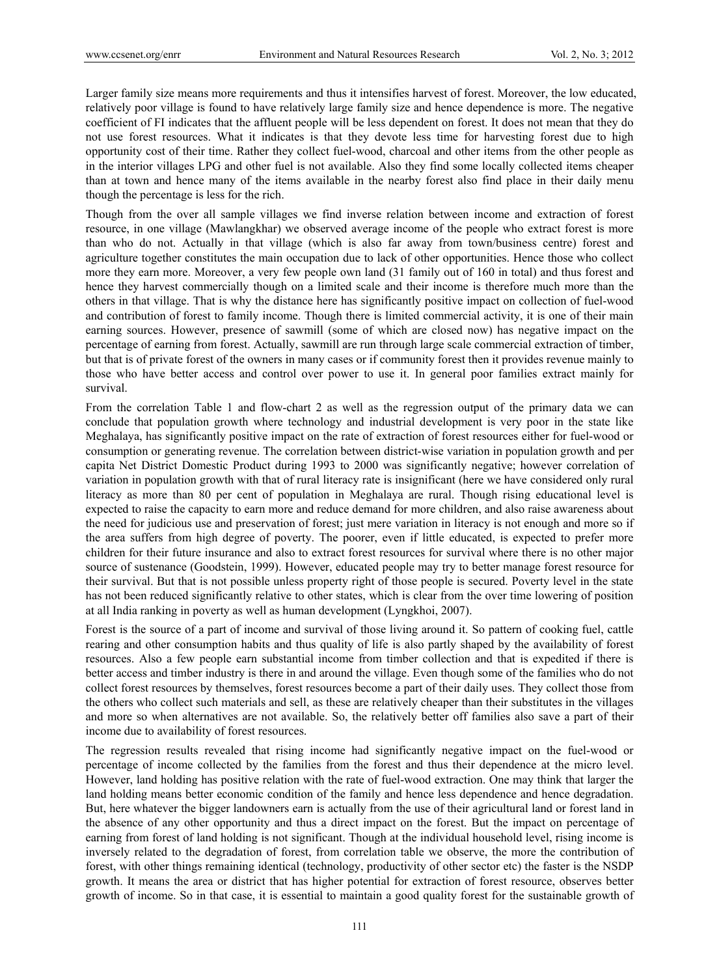Larger family size means more requirements and thus it intensifies harvest of forest. Moreover, the low educated, relatively poor village is found to have relatively large family size and hence dependence is more. The negative coefficient of FI indicates that the affluent people will be less dependent on forest. It does not mean that they do not use forest resources. What it indicates is that they devote less time for harvesting forest due to high opportunity cost of their time. Rather they collect fuel-wood, charcoal and other items from the other people as in the interior villages LPG and other fuel is not available. Also they find some locally collected items cheaper than at town and hence many of the items available in the nearby forest also find place in their daily menu though the percentage is less for the rich.

Though from the over all sample villages we find inverse relation between income and extraction of forest resource, in one village (Mawlangkhar) we observed average income of the people who extract forest is more than who do not. Actually in that village (which is also far away from town/business centre) forest and agriculture together constitutes the main occupation due to lack of other opportunities. Hence those who collect more they earn more. Moreover, a very few people own land (31 family out of 160 in total) and thus forest and hence they harvest commercially though on a limited scale and their income is therefore much more than the others in that village. That is why the distance here has significantly positive impact on collection of fuel-wood and contribution of forest to family income. Though there is limited commercial activity, it is one of their main earning sources. However, presence of sawmill (some of which are closed now) has negative impact on the percentage of earning from forest. Actually, sawmill are run through large scale commercial extraction of timber, but that is of private forest of the owners in many cases or if community forest then it provides revenue mainly to those who have better access and control over power to use it. In general poor families extract mainly for survival.

From the correlation Table 1 and flow-chart 2 as well as the regression output of the primary data we can conclude that population growth where technology and industrial development is very poor in the state like Meghalaya, has significantly positive impact on the rate of extraction of forest resources either for fuel-wood or consumption or generating revenue. The correlation between district-wise variation in population growth and per capita Net District Domestic Product during 1993 to 2000 was significantly negative; however correlation of variation in population growth with that of rural literacy rate is insignificant (here we have considered only rural literacy as more than 80 per cent of population in Meghalaya are rural. Though rising educational level is expected to raise the capacity to earn more and reduce demand for more children, and also raise awareness about the need for judicious use and preservation of forest; just mere variation in literacy is not enough and more so if the area suffers from high degree of poverty. The poorer, even if little educated, is expected to prefer more children for their future insurance and also to extract forest resources for survival where there is no other major source of sustenance (Goodstein, 1999). However, educated people may try to better manage forest resource for their survival. But that is not possible unless property right of those people is secured. Poverty level in the state has not been reduced significantly relative to other states, which is clear from the over time lowering of position at all India ranking in poverty as well as human development (Lyngkhoi, 2007).

Forest is the source of a part of income and survival of those living around it. So pattern of cooking fuel, cattle rearing and other consumption habits and thus quality of life is also partly shaped by the availability of forest resources. Also a few people earn substantial income from timber collection and that is expedited if there is better access and timber industry is there in and around the village. Even though some of the families who do not collect forest resources by themselves, forest resources become a part of their daily uses. They collect those from the others who collect such materials and sell, as these are relatively cheaper than their substitutes in the villages and more so when alternatives are not available. So, the relatively better off families also save a part of their income due to availability of forest resources.

The regression results revealed that rising income had significantly negative impact on the fuel-wood or percentage of income collected by the families from the forest and thus their dependence at the micro level. However, land holding has positive relation with the rate of fuel-wood extraction. One may think that larger the land holding means better economic condition of the family and hence less dependence and hence degradation. But, here whatever the bigger landowners earn is actually from the use of their agricultural land or forest land in the absence of any other opportunity and thus a direct impact on the forest. But the impact on percentage of earning from forest of land holding is not significant. Though at the individual household level, rising income is inversely related to the degradation of forest, from correlation table we observe, the more the contribution of forest, with other things remaining identical (technology, productivity of other sector etc) the faster is the NSDP growth. It means the area or district that has higher potential for extraction of forest resource, observes better growth of income. So in that case, it is essential to maintain a good quality forest for the sustainable growth of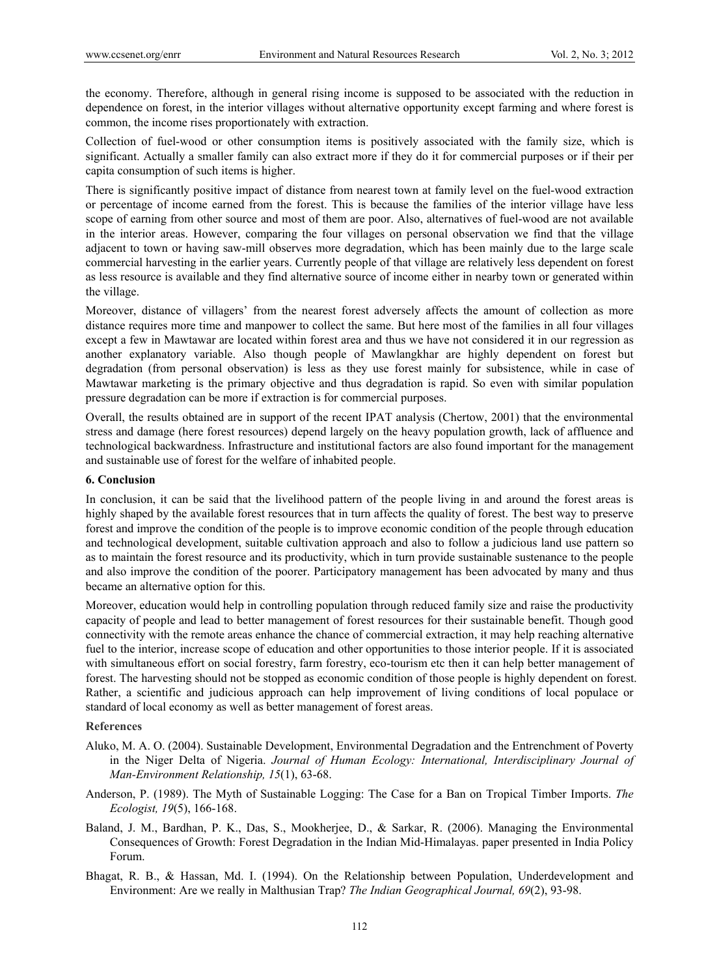the economy. Therefore, although in general rising income is supposed to be associated with the reduction in dependence on forest, in the interior villages without alternative opportunity except farming and where forest is common, the income rises proportionately with extraction.

Collection of fuel-wood or other consumption items is positively associated with the family size, which is significant. Actually a smaller family can also extract more if they do it for commercial purposes or if their per capita consumption of such items is higher.

There is significantly positive impact of distance from nearest town at family level on the fuel-wood extraction or percentage of income earned from the forest. This is because the families of the interior village have less scope of earning from other source and most of them are poor. Also, alternatives of fuel-wood are not available in the interior areas. However, comparing the four villages on personal observation we find that the village adjacent to town or having saw-mill observes more degradation, which has been mainly due to the large scale commercial harvesting in the earlier years. Currently people of that village are relatively less dependent on forest as less resource is available and they find alternative source of income either in nearby town or generated within the village.

Moreover, distance of villagers' from the nearest forest adversely affects the amount of collection as more distance requires more time and manpower to collect the same. But here most of the families in all four villages except a few in Mawtawar are located within forest area and thus we have not considered it in our regression as another explanatory variable. Also though people of Mawlangkhar are highly dependent on forest but degradation (from personal observation) is less as they use forest mainly for subsistence, while in case of Mawtawar marketing is the primary objective and thus degradation is rapid. So even with similar population pressure degradation can be more if extraction is for commercial purposes.

Overall, the results obtained are in support of the recent IPAT analysis (Chertow, 2001) that the environmental stress and damage (here forest resources) depend largely on the heavy population growth, lack of affluence and technological backwardness. Infrastructure and institutional factors are also found important for the management and sustainable use of forest for the welfare of inhabited people.

# **6. Conclusion**

In conclusion, it can be said that the livelihood pattern of the people living in and around the forest areas is highly shaped by the available forest resources that in turn affects the quality of forest. The best way to preserve forest and improve the condition of the people is to improve economic condition of the people through education and technological development, suitable cultivation approach and also to follow a judicious land use pattern so as to maintain the forest resource and its productivity, which in turn provide sustainable sustenance to the people and also improve the condition of the poorer. Participatory management has been advocated by many and thus became an alternative option for this.

Moreover, education would help in controlling population through reduced family size and raise the productivity capacity of people and lead to better management of forest resources for their sustainable benefit. Though good connectivity with the remote areas enhance the chance of commercial extraction, it may help reaching alternative fuel to the interior, increase scope of education and other opportunities to those interior people. If it is associated with simultaneous effort on social forestry, farm forestry, eco-tourism etc then it can help better management of forest. The harvesting should not be stopped as economic condition of those people is highly dependent on forest. Rather, a scientific and judicious approach can help improvement of living conditions of local populace or standard of local economy as well as better management of forest areas.

## **References**

- Aluko, M. A. O. (2004). Sustainable Development, Environmental Degradation and the Entrenchment of Poverty in the Niger Delta of Nigeria. *Journal of Human Ecology: International, Interdisciplinary Journal of Man-Environment Relationship, 15*(1), 63-68.
- Anderson, P. (1989). The Myth of Sustainable Logging: The Case for a Ban on Tropical Timber Imports. *The Ecologist, 19*(5), 166-168.
- Baland, J. M., Bardhan, P. K., Das, S., Mookherjee, D., & Sarkar, R. (2006). Managing the Environmental Consequences of Growth: Forest Degradation in the Indian Mid-Himalayas. paper presented in India Policy Forum.
- Bhagat, R. B., & Hassan, Md. I. (1994). On the Relationship between Population, Underdevelopment and Environment: Are we really in Malthusian Trap? *The Indian Geographical Journal, 69*(2), 93-98.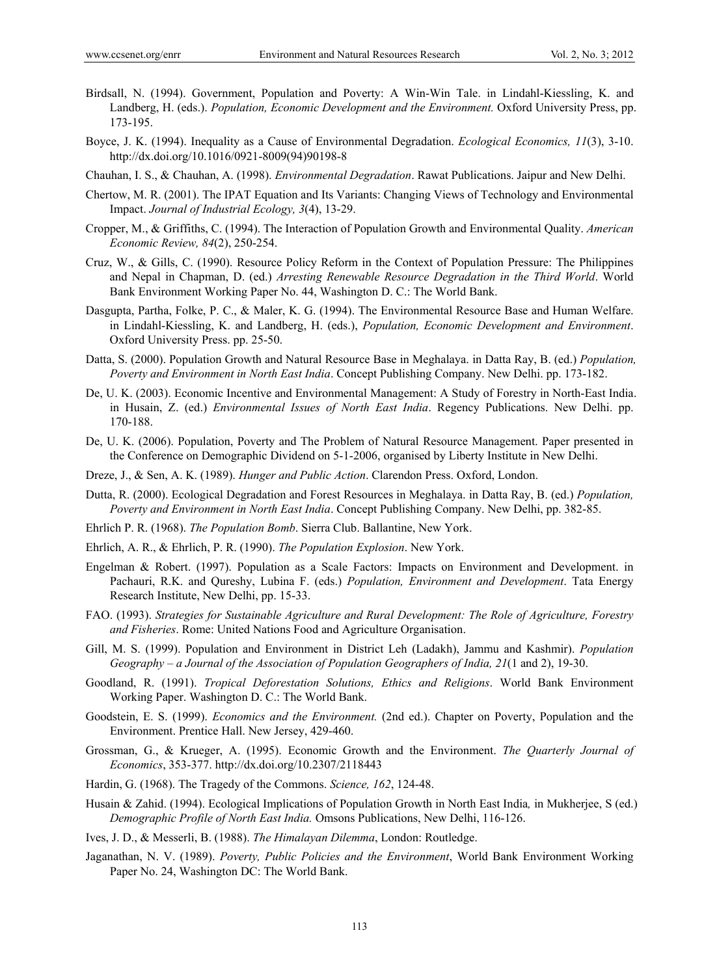- Birdsall, N. (1994). Government, Population and Poverty: A Win-Win Tale. in Lindahl-Kiessling, K. and Landberg, H. (eds.). *Population, Economic Development and the Environment.* Oxford University Press, pp. 173-195.
- Boyce, J. K. (1994). Inequality as a Cause of Environmental Degradation. *Ecological Economics, 11*(3), 3-10. http://dx.doi.org/10.1016/0921-8009(94)90198-8
- Chauhan, I. S., & Chauhan, A. (1998). *Environmental Degradation*. Rawat Publications. Jaipur and New Delhi.
- Chertow, M. R. (2001). The IPAT Equation and Its Variants: Changing Views of Technology and Environmental Impact. *Journal of Industrial Ecology, 3*(4), 13-29.
- Cropper, M., & Griffiths, C. (1994). The Interaction of Population Growth and Environmental Quality. *American Economic Review, 84*(2), 250-254.
- Cruz, W., & Gills, C. (1990). Resource Policy Reform in the Context of Population Pressure: The Philippines and Nepal in Chapman, D. (ed.) *Arresting Renewable Resource Degradation in the Third World*. World Bank Environment Working Paper No. 44, Washington D. C.: The World Bank.
- Dasgupta, Partha, Folke, P. C., & Maler, K. G. (1994). The Environmental Resource Base and Human Welfare. in Lindahl-Kiessling, K. and Landberg, H. (eds.), *Population, Economic Development and Environment*. Oxford University Press. pp. 25-50.
- Datta, S. (2000). Population Growth and Natural Resource Base in Meghalaya. in Datta Ray, B. (ed.) *Population, Poverty and Environment in North East India*. Concept Publishing Company. New Delhi. pp. 173-182.
- De, U. K. (2003). Economic Incentive and Environmental Management: A Study of Forestry in North-East India. in Husain, Z. (ed.) *Environmental Issues of North East India*. Regency Publications. New Delhi. pp. 170-188.
- De, U. K. (2006). Population, Poverty and The Problem of Natural Resource Management. Paper presented in the Conference on Demographic Dividend on 5-1-2006, organised by Liberty Institute in New Delhi.
- Dreze, J., & Sen, A. K. (1989). *Hunger and Public Action*. Clarendon Press. Oxford, London.
- Dutta, R. (2000). Ecological Degradation and Forest Resources in Meghalaya. in Datta Ray, B. (ed.) *Population, Poverty and Environment in North East India*. Concept Publishing Company. New Delhi, pp. 382-85.
- Ehrlich P. R. (1968). *The Population Bomb*. Sierra Club. Ballantine, New York.
- Ehrlich, A. R., & Ehrlich, P. R. (1990). *The Population Explosion*. New York.
- Engelman & Robert. (1997). Population as a Scale Factors: Impacts on Environment and Development. in Pachauri, R.K. and Qureshy, Lubina F. (eds.) *Population, Environment and Development*. Tata Energy Research Institute, New Delhi, pp. 15-33.
- FAO. (1993). *Strategies for Sustainable Agriculture and Rural Development: The Role of Agriculture, Forestry and Fisheries*. Rome: United Nations Food and Agriculture Organisation.
- Gill, M. S. (1999). Population and Environment in District Leh (Ladakh), Jammu and Kashmir). *Population Geography – a Journal of the Association of Population Geographers of India, 21*(1 and 2), 19-30.
- Goodland, R. (1991). *Tropical Deforestation Solutions, Ethics and Religions*. World Bank Environment Working Paper. Washington D. C.: The World Bank.
- Goodstein, E. S. (1999). *Economics and the Environment.* (2nd ed.). Chapter on Poverty, Population and the Environment. Prentice Hall. New Jersey, 429-460.
- Grossman, G., & Krueger, A. (1995). Economic Growth and the Environment. *The Quarterly Journal of Economics*, 353-377. http://dx.doi.org/10.2307/2118443
- Hardin, G. (1968). The Tragedy of the Commons. *Science, 162*, 124-48.
- Husain & Zahid. (1994). Ecological Implications of Population Growth in North East India*,* in Mukherjee, S (ed.) *Demographic Profile of North East India.* Omsons Publications, New Delhi, 116-126.
- Ives, J. D., & Messerli, B. (1988). *The Himalayan Dilemma*, London: Routledge.
- Jaganathan, N. V. (1989). *Poverty, Public Policies and the Environment*, World Bank Environment Working Paper No. 24, Washington DC: The World Bank.